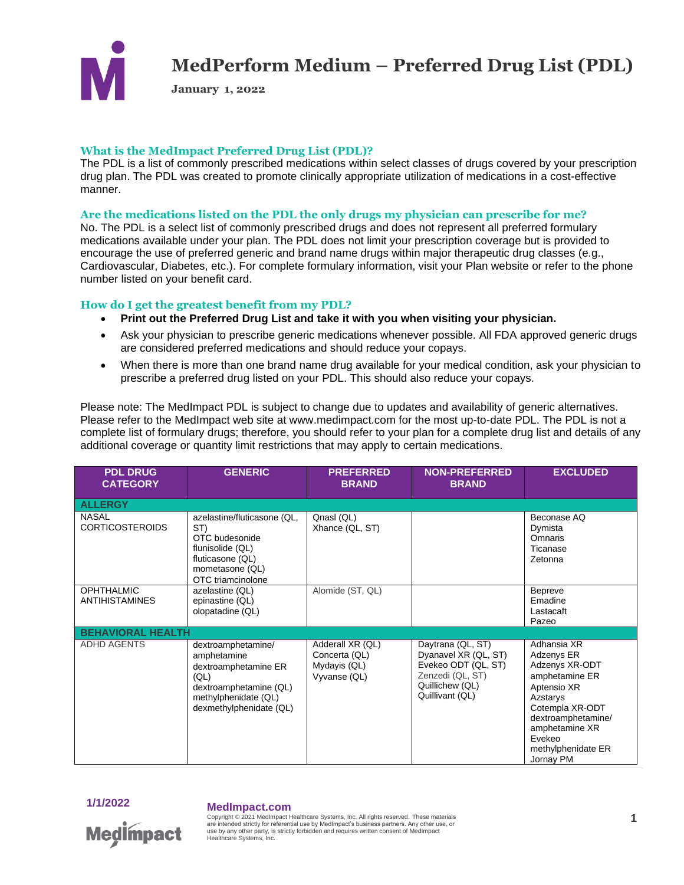

**January 1, 2022**

### **What is the MedImpact Preferred Drug List (PDL)?**

The PDL is a list of commonly prescribed medications within select classes of drugs covered by your prescription drug plan. The PDL was created to promote clinically appropriate utilization of medications in a cost-effective manner.

### **Are the medications listed on the PDL the only drugs my physician can prescribe for me?**

No. The PDL is a select list of commonly prescribed drugs and does not represent all preferred formulary medications available under your plan. The PDL does not limit your prescription coverage but is provided to encourage the use of preferred generic and brand name drugs within major therapeutic drug classes (e.g., Cardiovascular, Diabetes, etc.). For complete formulary information, visit your Plan website or refer to the phone number listed on your benefit card.

### **How do I get the greatest benefit from my PDL?**

- **Print out the Preferred Drug List and take it with you when visiting your physician.**
- Ask your physician to prescribe generic medications whenever possible. All FDA approved generic drugs are considered preferred medications and should reduce your copays.
- When there is more than one brand name drug available for your medical condition, ask your physician to prescribe a preferred drug listed on your PDL. This should also reduce your copays.

Please note: The MedImpact PDL is subject to change due to updates and availability of generic alternatives. Please refer to the MedImpact web site at www.medimpact.com for the most up-to-date PDL. The PDL is not a complete list of formulary drugs; therefore, you should refer to your plan for a complete drug list and details of any additional coverage or quantity limit restrictions that may apply to certain medications.

| <b>PDL DRUG</b><br><b>CATEGORY</b>         | <b>GENERIC</b>                                                                                                                                 | <b>PREFERRED</b><br><b>BRAND</b>                                  | <b>NON-PREFERRED</b><br><b>BRAND</b>                                                                                       | <b>EXCLUDED</b>                                                                                                                                                                                  |
|--------------------------------------------|------------------------------------------------------------------------------------------------------------------------------------------------|-------------------------------------------------------------------|----------------------------------------------------------------------------------------------------------------------------|--------------------------------------------------------------------------------------------------------------------------------------------------------------------------------------------------|
| <b>ALLERGY</b>                             |                                                                                                                                                |                                                                   |                                                                                                                            |                                                                                                                                                                                                  |
| <b>NASAL</b><br><b>CORTICOSTEROIDS</b>     | azelastine/fluticasone (QL,<br>ST)<br>OTC budesonide<br>flunisolide (QL)<br>fluticasone (QL)<br>mometasone (QL)<br>OTC triamcinolone           | Qnasl (QL)<br>Xhance (QL, ST)                                     |                                                                                                                            | Beconase AQ<br>Dymista<br>Omnaris<br>Ticanase<br>Zetonna                                                                                                                                         |
| <b>OPHTHALMIC</b><br><b>ANTIHISTAMINES</b> | azelastine (QL)<br>epinastine (QL)<br>olopatadine (QL)                                                                                         | Alomide (ST, QL)                                                  |                                                                                                                            | <b>Bepreve</b><br>Emadine<br>Lastacaft<br>Pazeo                                                                                                                                                  |
| <b>BEHAVIORAL HEALTH</b>                   |                                                                                                                                                |                                                                   |                                                                                                                            |                                                                                                                                                                                                  |
| <b>ADHD AGENTS</b>                         | dextroamphetamine/<br>amphetamine<br>dextroamphetamine ER<br>(QL)<br>dextroamphetamine (QL)<br>methylphenidate (QL)<br>dexmethylphenidate (QL) | Adderall XR (QL)<br>Concerta (QL)<br>Mydayis (QL)<br>Vyvanse (QL) | Daytrana (QL, ST)<br>Dyanavel XR (QL, ST)<br>Evekeo ODT (QL, ST)<br>Zenzedi (QL, ST)<br>Quillichew (QL)<br>Quillivant (QL) | Adhansia XR<br>Adzenys ER<br>Adzenys XR-ODT<br>amphetamine ER<br>Aptensio XR<br>Azstarys<br>Cotempla XR-ODT<br>dextroamphetamine/<br>amphetamine XR<br>Evekeo<br>methylphenidate ER<br>Jornay PM |



## **1/1/2022 MedImpact.com**

Copyright © 2021 MedImpact Healthcare Systems, Inc. All rights reserved. These materials **1** are intended strictly for referential use by MedImpact's business partners. Any other use, or use by any other party, is strictly forbidden and requires written consent of MedImpact Healthcare Systems, Inc.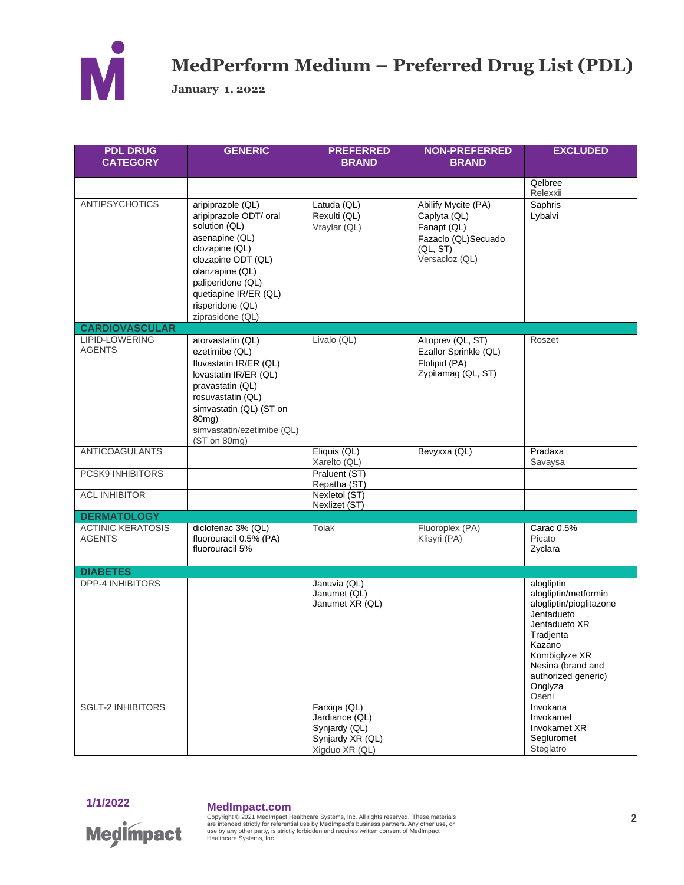

**January 1, 2022** 

| <b>PDL DRUG</b><br><b>CATEGORY</b>        | <b>GENERIC</b>                                                                                                                                                                                                                  | <b>PREFERRED</b><br><b>BRAND</b>                                                      | <b>NON-PREFERRED</b><br><b>BRAND</b>                                                                    | <b>EXCLUDED</b>                                                                                                                                                                                      |
|-------------------------------------------|---------------------------------------------------------------------------------------------------------------------------------------------------------------------------------------------------------------------------------|---------------------------------------------------------------------------------------|---------------------------------------------------------------------------------------------------------|------------------------------------------------------------------------------------------------------------------------------------------------------------------------------------------------------|
|                                           |                                                                                                                                                                                                                                 |                                                                                       |                                                                                                         | Qelbree<br>Relexxii                                                                                                                                                                                  |
| <b>ANTIPSYCHOTICS</b>                     | aripiprazole (QL)<br>aripiprazole ODT/ oral<br>solution (QL)<br>asenapine (QL)<br>clozapine (QL)<br>clozapine ODT (QL)<br>olanzapine (QL)<br>paliperidone (QL)<br>quetiapine IR/ER (QL)<br>risperidone (QL)<br>ziprasidone (QL) | Latuda (QL)<br>Rexulti (QL)<br>Vraylar (QL)                                           | Abilify Mycite (PA)<br>Caplyta (QL)<br>Fanapt (QL)<br>Fazaclo (QL)Secuado<br>(QL, ST)<br>Versacloz (QL) | Saphris<br>Lybalvi                                                                                                                                                                                   |
| <b>CARDIOVASCULAR</b>                     |                                                                                                                                                                                                                                 |                                                                                       |                                                                                                         |                                                                                                                                                                                                      |
| LIPID-LOWERING<br><b>AGENTS</b>           | atorvastatin (QL)<br>ezetimibe (QL)<br>fluvastatin IR/ER (QL)<br>lovastatin IR/ER (QL)<br>pravastatin (QL)<br>rosuvastatin (QL)<br>simvastatin (QL) (ST on<br>80 <sub>mg</sub> )<br>simvastatin/ezetimibe (QL)<br>(ST on 80mg)  | Livalo (QL)                                                                           | Altoprev (QL, ST)<br>Ezallor Sprinkle (QL)<br>Flolipid (PA)<br>Zypitamag (QL, ST)                       | Roszet                                                                                                                                                                                               |
| <b>ANTICOAGULANTS</b>                     |                                                                                                                                                                                                                                 | Eliquis (QL)<br>Xarelto (QL)                                                          | Bevyxxa (QL)                                                                                            | Pradaxa<br>Savaysa                                                                                                                                                                                   |
| PCSK9 INHIBITORS                          |                                                                                                                                                                                                                                 | Praluent (ST)<br>Repatha (ST)                                                         |                                                                                                         |                                                                                                                                                                                                      |
| <b>ACL INHIBITOR</b>                      |                                                                                                                                                                                                                                 | Nexletol (ST)<br>Nexlizet (ST)                                                        |                                                                                                         |                                                                                                                                                                                                      |
| <b>DERMATOLOGY</b>                        |                                                                                                                                                                                                                                 |                                                                                       |                                                                                                         |                                                                                                                                                                                                      |
| <b>ACTINIC KERATOSIS</b><br><b>AGENTS</b> | diclofenac 3% (QL)<br>fluorouracil 0.5% (PA)<br>fluorouracil 5%                                                                                                                                                                 | Tolak                                                                                 | Fluoroplex (PA)<br>Klisyri (PA)                                                                         | Carac 0.5%<br>Picato<br>Zyclara                                                                                                                                                                      |
| <b>DIABETES</b>                           |                                                                                                                                                                                                                                 |                                                                                       |                                                                                                         |                                                                                                                                                                                                      |
| <b>DPP-4 INHIBITORS</b>                   |                                                                                                                                                                                                                                 | Januvia (QL)<br>Janumet (QL)<br>Janumet XR (QL)                                       |                                                                                                         | alogliptin<br>alogliptin/metformin<br>alogliptin/pioglitazone<br>Jentadueto<br>Jentadueto XR<br>Tradjenta<br>Kazano<br>Kombiglyze XR<br>Nesina (brand and<br>authorized generic)<br>Onglyza<br>Oseni |
| <b>SGLT-2 INHIBITORS</b>                  |                                                                                                                                                                                                                                 | Farxiga (QL)<br>Jardiance (QL)<br>Synjardy (QL)<br>Synjardy XR (QL)<br>Xigduo XR (QL) |                                                                                                         | Invokana<br>Invokamet<br>Invokamet XR<br>Segluromet<br>Steglatro                                                                                                                                     |



**Medimpact** 

**MedImpact.com**<br>Copyright © 2021 MedImpact Healthcare Systems, Inc. All rights reserved. These materials<br>are intended strictly for referential use by MedImpact's business partners. Any other use, or<br>use by any other party,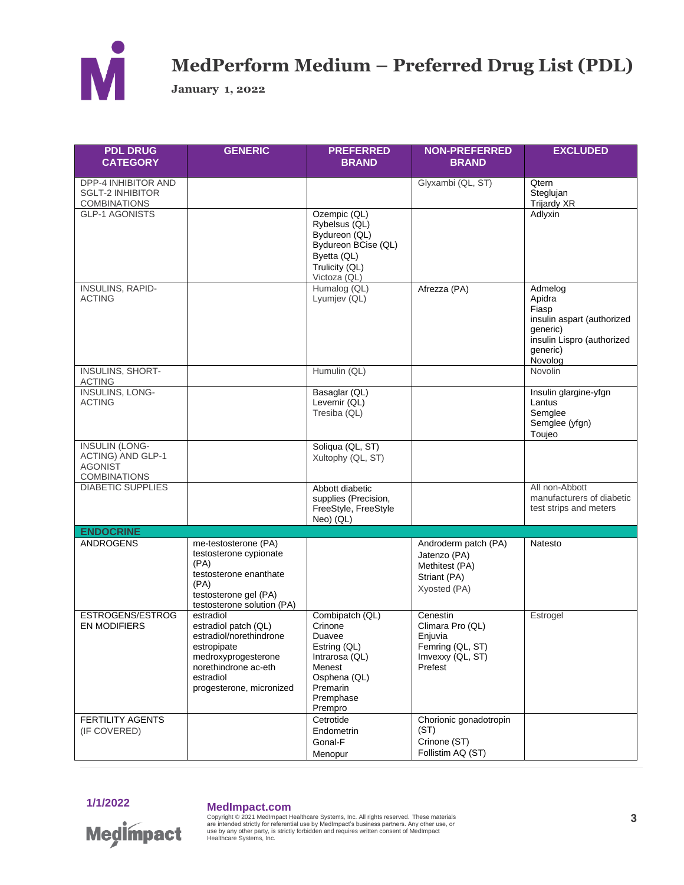

**January 1, 2022** 

| <b>PDL DRUG</b><br><b>CATEGORY</b>                                                  | <b>GENERIC</b>                                                                                                                                                      | <b>PREFERRED</b><br><b>BRAND</b>                                                                                                     | <b>NON-PREFERRED</b><br><b>BRAND</b>                                                       | <b>EXCLUDED</b>                                                                                                           |
|-------------------------------------------------------------------------------------|---------------------------------------------------------------------------------------------------------------------------------------------------------------------|--------------------------------------------------------------------------------------------------------------------------------------|--------------------------------------------------------------------------------------------|---------------------------------------------------------------------------------------------------------------------------|
| DPP-4 INHIBITOR AND<br><b>SGLT-2 INHIBITOR</b><br><b>COMBINATIONS</b>               |                                                                                                                                                                     |                                                                                                                                      | Glyxambi (QL, ST)                                                                          | Qtern<br>Steglujan<br>Trijardy XR                                                                                         |
| <b>GLP-1 AGONISTS</b>                                                               |                                                                                                                                                                     | Ozempic (QL)<br>Rybelsus (QL)<br>Bydureon (QL)<br>Bydureon BCise (QL)<br>Byetta (QL)<br>Trulicity (QL)<br>Victoza (QL)               |                                                                                            | Adlyxin                                                                                                                   |
| <b>INSULINS, RAPID-</b><br><b>ACTING</b>                                            |                                                                                                                                                                     | Humalog (QL)<br>Lyumjev (QL)                                                                                                         | Afrezza (PA)                                                                               | Admelog<br>Apidra<br>Fiasp<br>insulin aspart (authorized<br>qeneric)<br>insulin Lispro (authorized<br>generic)<br>Novolog |
| <b>INSULINS, SHORT-</b><br><b>ACTING</b>                                            |                                                                                                                                                                     | Humulin (QL)                                                                                                                         |                                                                                            | <b>Novolin</b>                                                                                                            |
| <b>INSULINS, LONG-</b><br><b>ACTING</b>                                             |                                                                                                                                                                     | Basaglar (QL)<br>Levemir (QL)<br>Tresiba (QL)                                                                                        |                                                                                            | Insulin glargine-yfgn<br>Lantus<br>Semglee<br>Semglee (yfgn)<br>Toujeo                                                    |
| <b>INSULIN (LONG-</b><br>ACTING) AND GLP-1<br><b>AGONIST</b><br><b>COMBINATIONS</b> |                                                                                                                                                                     | Soliqua (QL, ST)<br>Xultophy (QL, ST)                                                                                                |                                                                                            |                                                                                                                           |
| <b>DIABETIC SUPPLIES</b>                                                            |                                                                                                                                                                     | Abbott diabetic<br>supplies (Precision,<br>FreeStyle, FreeStyle<br>Neo) (QL)                                                         |                                                                                            | All non-Abbott<br>manufacturers of diabetic<br>test strips and meters                                                     |
| <b>ENDOCRINE</b>                                                                    |                                                                                                                                                                     |                                                                                                                                      |                                                                                            |                                                                                                                           |
| <b>ANDROGENS</b>                                                                    | me-testosterone (PA)<br>testosterone cypionate<br>(PA)<br>testosterone enanthate<br>(PA)<br>testosterone gel (PA)<br>testosterone solution (PA)                     |                                                                                                                                      | Androderm patch (PA)<br>Jatenzo (PA)<br>Methitest (PA)<br>Striant (PA)<br>Xyosted (PA)     | Natesto                                                                                                                   |
| ESTROGENS/ESTROG<br><b>EN MODIFIERS</b>                                             | estradiol<br>estradiol patch (QL)<br>estradiol/norethindrone<br>estropipate<br>medroxyprogesterone<br>norethindrone ac-eth<br>estradiol<br>progesterone, micronized | Combipatch (QL)<br>Crinone<br>Duavee<br>Estring (QL)<br>Intrarosa (QL)<br>Menest<br>Osphena (QL)<br>Premarin<br>Premphase<br>Prempro | Cenestin<br>Climara Pro (QL)<br>Enjuvia<br>Femring (QL, ST)<br>Imvexxy (QL, ST)<br>Prefest | Estrogel                                                                                                                  |
| <b>FERTILITY AGENTS</b><br>(IF COVERED)                                             |                                                                                                                                                                     | Cetrotide<br>Endometrin<br>Gonal-F<br>Menopur                                                                                        | Chorionic gonadotropin<br>(ST)<br>Crinone (ST)<br>Follistim AQ (ST)                        |                                                                                                                           |

1/1/2022



**MedImpact.com**<br>Copyright © 2021 MedImpact Healthcare Systems, Inc. All rights reserved. These materials<br>are intended strictly for referential use by MedImpact's business partners. Any other use, or<br>use by any other party,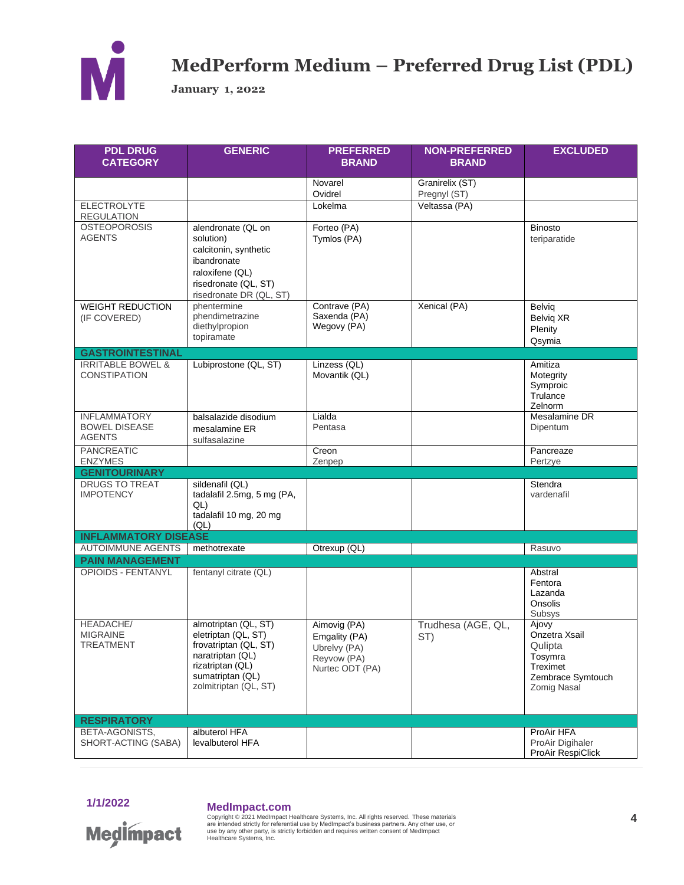

**January 1, 2022** 

| <b>PDL DRUG</b><br><b>CATEGORY</b>                           | <b>GENERIC</b>                                                                                                                                            | <b>PREFERRED</b><br><b>BRAND</b>                                                | <b>NON-PREFERRED</b><br><b>BRAND</b> | <b>EXCLUDED</b>                                                                                     |
|--------------------------------------------------------------|-----------------------------------------------------------------------------------------------------------------------------------------------------------|---------------------------------------------------------------------------------|--------------------------------------|-----------------------------------------------------------------------------------------------------|
|                                                              |                                                                                                                                                           | Novarel<br>Ovidrel                                                              | Granirelix (ST)<br>Pregnyl (ST)      |                                                                                                     |
| <b>ELECTROLYTE</b><br><b>REGULATION</b>                      |                                                                                                                                                           | Lokelma                                                                         | Veltassa (PA)                        |                                                                                                     |
| <b>OSTEOPOROSIS</b><br><b>AGENTS</b>                         | alendronate (QL on<br>solution)<br>calcitonin, synthetic<br>ibandronate<br>raloxifene (QL)<br>risedronate (QL, ST)<br>risedronate DR (QL, ST)             | Forteo (PA)<br>Tymlos (PA)                                                      |                                      | <b>Binosto</b><br>teriparatide                                                                      |
| <b>WEIGHT REDUCTION</b><br>(IF COVERED)                      | phentermine<br>phendimetrazine<br>diethylpropion<br>topiramate                                                                                            | Contrave (PA)<br>Saxenda (PA)<br>Wegovy (PA)                                    | Xenical (PA)                         | Belviq<br>Belviq XR<br>Plenity<br>Qsymia                                                            |
| <b>GASTROINTESTINAL</b>                                      |                                                                                                                                                           |                                                                                 |                                      |                                                                                                     |
| <b>IRRITABLE BOWEL &amp;</b><br><b>CONSTIPATION</b>          | Lubiprostone (QL, ST)                                                                                                                                     | Linzess (QL)<br>Movantik (QL)                                                   |                                      | Amitiza<br>Motegrity<br>Symproic<br>Trulance<br>Zelnorm                                             |
| <b>INFLAMMATORY</b><br><b>BOWEL DISEASE</b><br><b>AGENTS</b> | balsalazide disodium<br>mesalamine ER<br>sulfasalazine                                                                                                    | Lialda<br>Pentasa                                                               |                                      | Mesalamine DR<br>Dipentum                                                                           |
| PANCREATIC<br><b>ENZYMES</b>                                 |                                                                                                                                                           | Creon<br>Zenpep                                                                 |                                      | Pancreaze<br>Pertzye                                                                                |
| <b>GENITOURINARY</b>                                         |                                                                                                                                                           |                                                                                 |                                      |                                                                                                     |
| <b>DRUGS TO TREAT</b><br><b>IMPOTENCY</b>                    | sildenafil (QL)<br>tadalafil 2.5mg, 5 mg (PA,<br>QL)<br>tadalafil 10 mg, 20 mg<br>(QL)                                                                    |                                                                                 |                                      | Stendra<br>vardenafil                                                                               |
| <b>INFLAMMATORY DISEASE</b>                                  |                                                                                                                                                           |                                                                                 |                                      |                                                                                                     |
| <b>AUTOIMMUNE AGENTS</b>                                     | methotrexate                                                                                                                                              | Otrexup (QL)                                                                    |                                      | Rasuvo                                                                                              |
| <b>PAIN MANAGEMENT</b>                                       |                                                                                                                                                           |                                                                                 |                                      |                                                                                                     |
| <b>OPIOIDS - FENTANYL</b>                                    | fentanyl citrate (QL)                                                                                                                                     |                                                                                 |                                      | Abstral<br>Fentora<br>Lazanda<br>Onsolis<br>Subsys                                                  |
| <b>HEADACHE/</b><br><b>MIGRAINE</b><br><b>TREATMENT</b>      | almotriptan (QL, ST)<br>eletriptan (QL, ST)<br>frovatriptan (QL, ST)<br>naratriptan (QL)<br>rizatriptan (QL)<br>sumatriptan (QL)<br>zolmitriptan (QL, ST) | Aimovig (PA)<br>Emgality (PA)<br>Ubrelvy (PA)<br>Reyvow (PA)<br>Nurtec ODT (PA) | Trudhesa (AGE, QL,<br>ST)            | Ajovy<br>Onzetra Xsail<br>Qulipta<br>Tosymra<br>Treximet<br>Zembrace Symtouch<br><b>Zomig Nasal</b> |
| <b>RESPIRATORY</b>                                           |                                                                                                                                                           |                                                                                 |                                      |                                                                                                     |
| BETA-AGONISTS,<br>SHORT-ACTING (SABA)                        | albuterol HFA<br>levalbuterol HFA                                                                                                                         |                                                                                 |                                      | ProAir HFA<br>ProAir Digihaler<br>ProAir RespiClick                                                 |

1/1/2022

**Medimpact** 

**MedImpact.com**<br>Copyright © 2021 MedImpact Healthcare Systems, Inc. All rights reserved. These materials<br>are intended strictly for referential use by MedImpact's business partners. Any other use, or<br>use by any other party,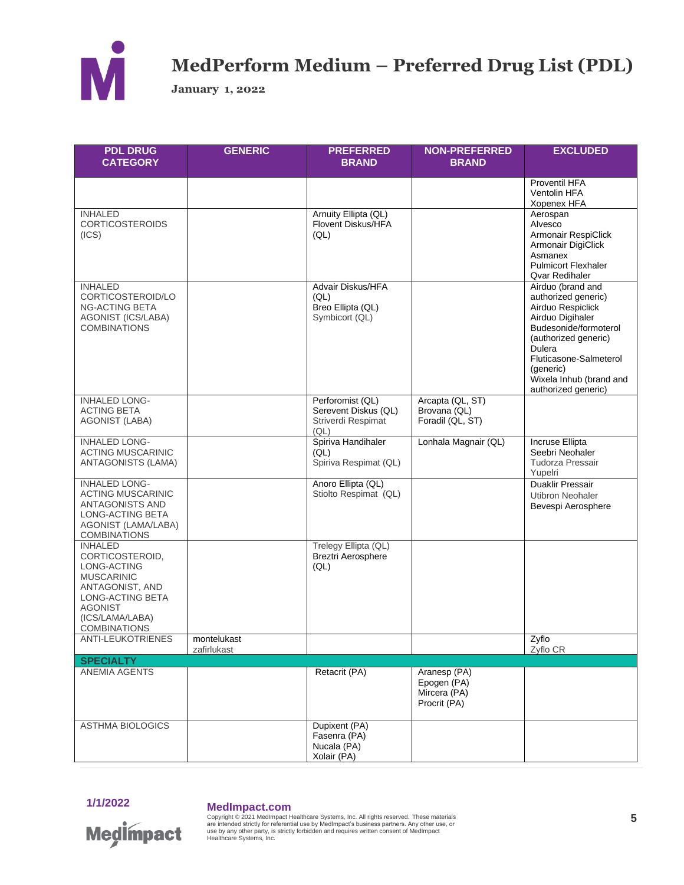

**January 1, 2022**

| <b>PDL DRUG</b><br><b>CATEGORY</b>                                                                                                                                       | <b>GENERIC</b>             | <b>PREFERRED</b><br><b>BRAND</b>                                       | <b>NON-PREFERRED</b><br><b>BRAND</b>                        | <b>EXCLUDED</b>                                                                                                                                                                                                                       |
|--------------------------------------------------------------------------------------------------------------------------------------------------------------------------|----------------------------|------------------------------------------------------------------------|-------------------------------------------------------------|---------------------------------------------------------------------------------------------------------------------------------------------------------------------------------------------------------------------------------------|
|                                                                                                                                                                          |                            |                                                                        |                                                             | Proventil HFA<br>Ventolin HFA<br>Xopenex HFA                                                                                                                                                                                          |
| <b>INHALED</b><br><b>CORTICOSTEROIDS</b><br>(ICS)                                                                                                                        |                            | Arnuity Ellipta (QL)<br>Flovent Diskus/HFA<br>(QL)                     |                                                             | Aerospan<br>Alvesco<br>Armonair RespiClick<br>Armonair DigiClick<br>Asmanex<br><b>Pulmicort Flexhaler</b><br><b>Qvar Redihaler</b>                                                                                                    |
| <b>INHALED</b><br>CORTICOSTEROID/LO<br><b>NG-ACTING BETA</b><br>AGONIST (ICS/LABA)<br><b>COMBINATIONS</b>                                                                |                            | Advair Diskus/HFA<br>(QL)<br>Breo Ellipta (QL)<br>Symbicort (QL)       |                                                             | Airduo (brand and<br>authorized generic)<br>Airduo Respiclick<br>Airduo Digihaler<br>Budesonide/formoterol<br>(authorized generic)<br>Dulera<br>Fluticasone-Salmeterol<br>(generic)<br>Wixela Inhub (brand and<br>authorized generic) |
| <b>INHALED LONG-</b><br><b>ACTING BETA</b><br><b>AGONIST (LABA)</b>                                                                                                      |                            | Perforomist (QL)<br>Serevent Diskus (QL)<br>Striverdi Respimat<br>(QL) | Arcapta (QL, ST)<br>Brovana (QL)<br>Foradil (QL, ST)        |                                                                                                                                                                                                                                       |
| <b>INHALED LONG-</b><br><b>ACTING MUSCARINIC</b><br>ANTAGONISTS (LAMA)                                                                                                   |                            | Spiriva Handihaler<br>(QL)<br>Spiriva Respimat (QL)                    | Lonhala Magnair (QL)                                        | Incruse Ellipta<br>Seebri Neohaler<br>Tudorza Pressair<br>Yupelri                                                                                                                                                                     |
| <b>INHALED LONG-</b><br><b>ACTING MUSCARINIC</b><br>ANTAGONISTS AND<br>LONG-ACTING BETA<br>AGONIST (LAMA/LABA)<br><b>COMBINATIONS</b>                                    |                            | Anoro Ellipta (QL)<br>Stiolto Respimat (QL)                            |                                                             | Duaklir Pressair<br><b>Utibron Neohaler</b><br>Bevespi Aerosphere                                                                                                                                                                     |
| <b>INHALED</b><br>CORTICOSTEROID,<br>LONG-ACTING<br><b>MUSCARINIC</b><br>ANTAGONIST, AND<br>LONG-ACTING BETA<br><b>AGONIST</b><br>(ICS/LAMA/LABA)<br><b>COMBINATIONS</b> |                            | Trelegy Ellipta (QL)<br>Breztri Aerosphere<br>(QL)                     |                                                             |                                                                                                                                                                                                                                       |
| <b>ANTI-LEUKOTRIENES</b>                                                                                                                                                 | montelukast<br>zafirlukast |                                                                        |                                                             | Zyflo<br>Zyflo CR                                                                                                                                                                                                                     |
| <b>SPECIALTY</b>                                                                                                                                                         |                            |                                                                        |                                                             |                                                                                                                                                                                                                                       |
| ANEMIA AGENTS                                                                                                                                                            |                            | Retacrit (PA)                                                          | Aranesp (PA)<br>Epogen (PA)<br>Mircera (PA)<br>Procrit (PA) |                                                                                                                                                                                                                                       |
| <b>ASTHMA BIOLOGICS</b>                                                                                                                                                  |                            | Dupixent (PA)<br>Fasenra (PA)<br>Nucala (PA)<br>Xolair (PA)            |                                                             |                                                                                                                                                                                                                                       |



## **1/1/2022 MedImpact.com**

**Medimpact** 

Copyright © 2021 MedImpact Healthcare Systems, Inc. All rights reserved. These materials<br>are intended strictly for referential use by MedImpact's business partners. Any other use, or<br>use by any other party, is strictly fo